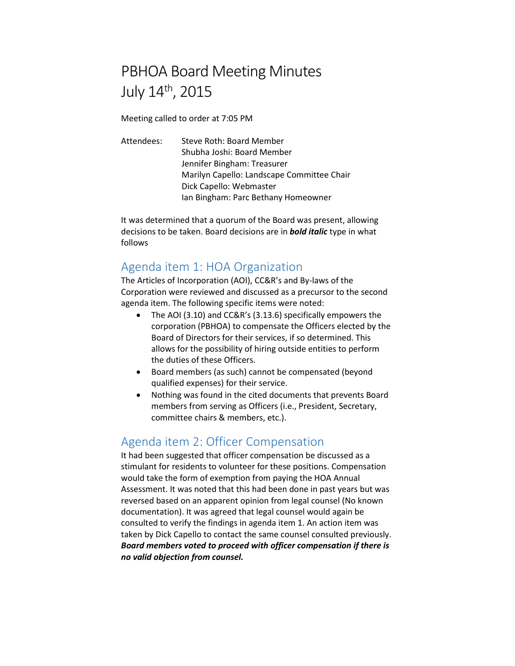# PBHOA Board Meeting Minutes July 14th, 2015

Meeting called to order at 7:05 PM

Attendees: Steve Roth: Board Member Shubha Joshi: Board Member Jennifer Bingham: Treasurer Marilyn Capello: Landscape Committee Chair Dick Capello: Webmaster Ian Bingham: Parc Bethany Homeowner

It was determined that a quorum of the Board was present, allowing decisions to be taken. Board decisions are in *bold italic* type in what follows

## Agenda item 1: HOA Organization

The Articles of Incorporation (AOI), CC&R's and By-laws of the Corporation were reviewed and discussed as a precursor to the second agenda item. The following specific items were noted:

- The AOI (3.10) and CC&R's (3.13.6) specifically empowers the corporation (PBHOA) to compensate the Officers elected by the Board of Directors for their services, if so determined. This allows for the possibility of hiring outside entities to perform the duties of these Officers.
- Board members (as such) cannot be compensated (beyond qualified expenses) for their service.
- Nothing was found in the cited documents that prevents Board members from serving as Officers (i.e., President, Secretary, committee chairs & members, etc.).

## Agenda item 2: Officer Compensation

It had been suggested that officer compensation be discussed as a stimulant for residents to volunteer for these positions. Compensation would take the form of exemption from paying the HOA Annual Assessment. It was noted that this had been done in past years but was reversed based on an apparent opinion from legal counsel (No known documentation). It was agreed that legal counsel would again be consulted to verify the findings in agenda item 1. An action item was taken by Dick Capello to contact the same counsel consulted previously. *Board members voted to proceed with officer compensation if there is no valid objection from counsel.*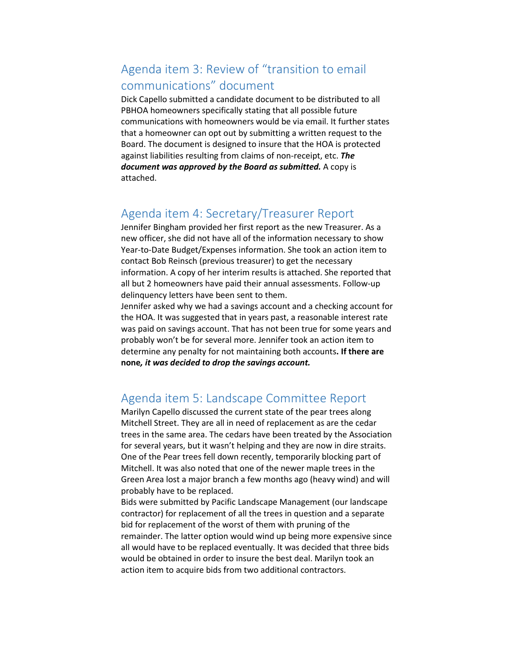# Agenda item 3: Review of "transition to email communications" document

Dick Capello submitted a candidate document to be distributed to all PBHOA homeowners specifically stating that all possible future communications with homeowners would be via email. It further states that a homeowner can opt out by submitting a written request to the Board. The document is designed to insure that the HOA is protected against liabilities resulting from claims of non-receipt, etc. *The document was approved by the Board as submitted.* A copy is attached.

#### Agenda item 4: Secretary/Treasurer Report

Jennifer Bingham provided her first report as the new Treasurer. As a new officer, she did not have all of the information necessary to show Year-to-Date Budget/Expenses information. She took an action item to contact Bob Reinsch (previous treasurer) to get the necessary information. A copy of her interim results is attached. She reported that all but 2 homeowners have paid their annual assessments. Follow-up delinquency letters have been sent to them.

Jennifer asked why we had a savings account and a checking account for the HOA. It was suggested that in years past, a reasonable interest rate was paid on savings account. That has not been true for some years and probably won't be for several more. Jennifer took an action item to determine any penalty for not maintaining both accounts**. If there are none***, it was decided to drop the savings account.*

## Agenda item 5: Landscape Committee Report

Marilyn Capello discussed the current state of the pear trees along Mitchell Street. They are all in need of replacement as are the cedar trees in the same area. The cedars have been treated by the Association for several years, but it wasn't helping and they are now in dire straits. One of the Pear trees fell down recently, temporarily blocking part of Mitchell. It was also noted that one of the newer maple trees in the Green Area lost a major branch a few months ago (heavy wind) and will probably have to be replaced.

Bids were submitted by Pacific Landscape Management (our landscape contractor) for replacement of all the trees in question and a separate bid for replacement of the worst of them with pruning of the remainder. The latter option would wind up being more expensive since all would have to be replaced eventually. It was decided that three bids would be obtained in order to insure the best deal. Marilyn took an action item to acquire bids from two additional contractors.